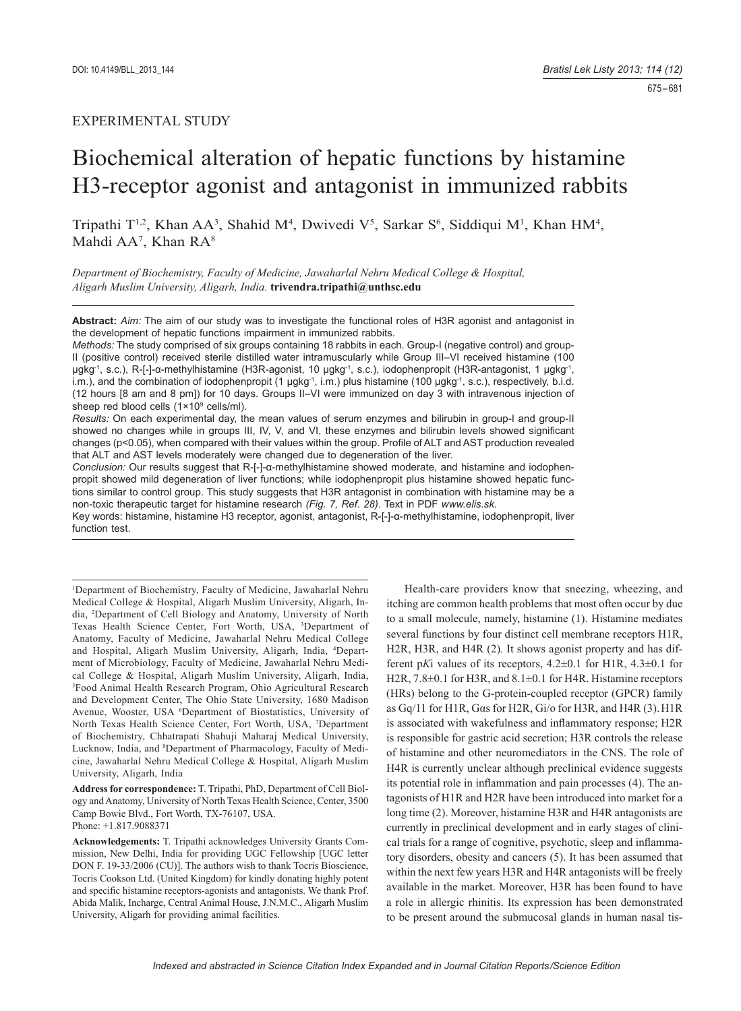# EXPERIMENTAL STUDY

# Biochemical alteration of hepatic functions by histamine H3-receptor agonist and antagonist in immunized rabbits

Tripathi T<sup>1,2</sup>, Khan AA<sup>3</sup>, Shahid M<sup>4</sup>, Dwivedi V<sup>5</sup>, Sarkar S<sup>6</sup>, Siddiqui M<sup>1</sup>, Khan HM<sup>4</sup>, Mahdi AA<sup>7</sup>, Khan RA<sup>8</sup>

*Department of Biochemistry, Faculty of Medicine, Jawaharlal Nehru Medical College & Hospital, Aligarh Muslim University, Aligarh, India.* **trivendra.tripathi@unthsc.edu**

**Abstract:** *Aim:* The aim of our study was to investigate the functional roles of H3R agonist and antagonist in the development of hepatic functions impairment in immunized rabbits.

*Methods:* The study comprised of six groups containing 18 rabbits in each. Group-I (negative control) and group-II (positive control) received sterile distilled water intramuscularly while Group III–VI received histamine (100 μgkg-1, s.c.), R-[-]-α-methylhistamine (H3R-agonist, 10 μgkg-1, s.c.), iodophenpropit (H3R-antagonist, 1 μgkg-1, i.m.), and the combination of iodophenpropit (1 μgkg-1, i.m.) plus histamine (100 μgkg-1, s.c.), respectively, b.i.d. (12 hours [8 am and 8 pm]) for 10 days. Groups II–VI were immunized on day 3 with intravenous injection of sheep red blood cells (1×10<sup>9</sup> cells/ml).

*Results:* On each experimental day, the mean values of serum enzymes and bilirubin in group-I and group-II showed no changes while in groups III, IV, V, and VI, these enzymes and bilirubin levels showed significant changes (p<0.05), when compared with their values within the group. Profile of ALT and AST production revealed that ALT and AST levels moderately were changed due to degeneration of the liver.

*Conclusion:* Our results suggest that R-[-]-α-methylhistamine showed moderate, and histamine and iodophenpropit showed mild degeneration of liver functions; while iodophenpropit plus histamine showed hepatic functions similar to control group. This study suggests that H3R antagonist in combination with histamine may be a non-toxic therapeutic target for histamine research *(Fig. 7, Ref. 28)*. Text in PDF *www.elis.sk.*

Key words: histamine, histamine H3 receptor, agonist, antagonist, R-[-]-α-methylhistamine, iodophenpropit, liver function test.

1 Department of Biochemistry, Faculty of Medicine, Jawaharlal Nehru Medical College & Hospital, Aligarh Muslim University, Aligarh, India, 2 Department of Cell Biology and Anatomy, University of North Texas Health Science Center, Fort Worth, USA, 3 Department of Anatomy, Faculty of Medicine, Jawaharlal Nehru Medical College and Hospital, Aligarh Muslim University, Aligarh, India, 4 Department of Microbiology, Faculty of Medicine, Jawaharlal Nehru Medical College & Hospital, Aligarh Muslim University, Aligarh, India, 5 Food Animal Health Research Program, Ohio Agricultural Research and Development Center, The Ohio State University, 1680 Madison Avenue, Wooster, USA <sup>6</sup>Department of Biostatistics, University of North Texas Health Science Center, Fort Worth, USA, 7 Department of Biochemistry, Chhatrapati Shahuji Maharaj Medical University, Lucknow, India, and <sup>8</sup>Department of Pharmacology, Faculty of Medicine, Jawaharlal Nehru Medical College & Hospital, Aligarh Muslim University, Aligarh, India

**Address for correspondence:** T. Tripathi, PhD, Department of Cell Biology and Anatomy, University of North Texas Health Science, Center, 3500 Camp Bowie Blvd., Fort Worth, TX-76107, USA. Phone: +1.817.9088371

**Acknowledgements:** T. Tripathi acknowledges University Grants Commission, New Delhi, India for providing UGC Fellowship [UGC letter DON F. 19-33/2006 (CU)]. The authors wish to thank Tocris Bioscience, Tocris Cookson Ltd. (United Kingdom) for kindly donating highly potent and specific histamine receptors-agonists and antagonists. We thank Prof. Abida Malik, Incharge, Central Animal House, J.N.M.C., Aligarh Muslim University, Aligarh for providing animal facilities.

Health-care providers know that sneezing, wheezing, and itching are common health problems that most often occur by due to a small molecule, namely, histamine (1). Histamine mediates several functions by four distinct cell membrane receptors H1R, H2R, H3R, and H4R (2). It shows agonist property and has different pKi values of its receptors,  $4.2\pm0.1$  for H1R,  $4.3\pm0.1$  for H2R,  $7.8\pm0.1$  for H3R, and  $8.1\pm0.1$  for H4R. Histamine receptors (HRs) belong to the G-protein-coupled receptor (GPCR) family as Gq/11 for H1R, Gas for H2R, Gi/o for H3R, and H4R (3). H1R is associated with wakefulness and inflammatory response; H2R is responsible for gastric acid secretion; H3R controls the release of histamine and other neuromediators in the CNS. The role of H4R is currently unclear although preclinical evidence suggests its potential role in inflammation and pain processes (4). The antagonists of H1R and H2R have been introduced into market for a long time (2). Moreover, histamine H3R and H4R antagonists are currently in preclinical development and in early stages of clinical trials for a range of cognitive, psychotic, sleep and inflammatory disorders, obesity and cancers (5). It has been assumed that within the next few years H3R and H4R antagonists will be freely available in the market. Moreover, H3R has been found to have a role in allergic rhinitis. Its expression has been demonstrated to be present around the submucosal glands in human nasal tis-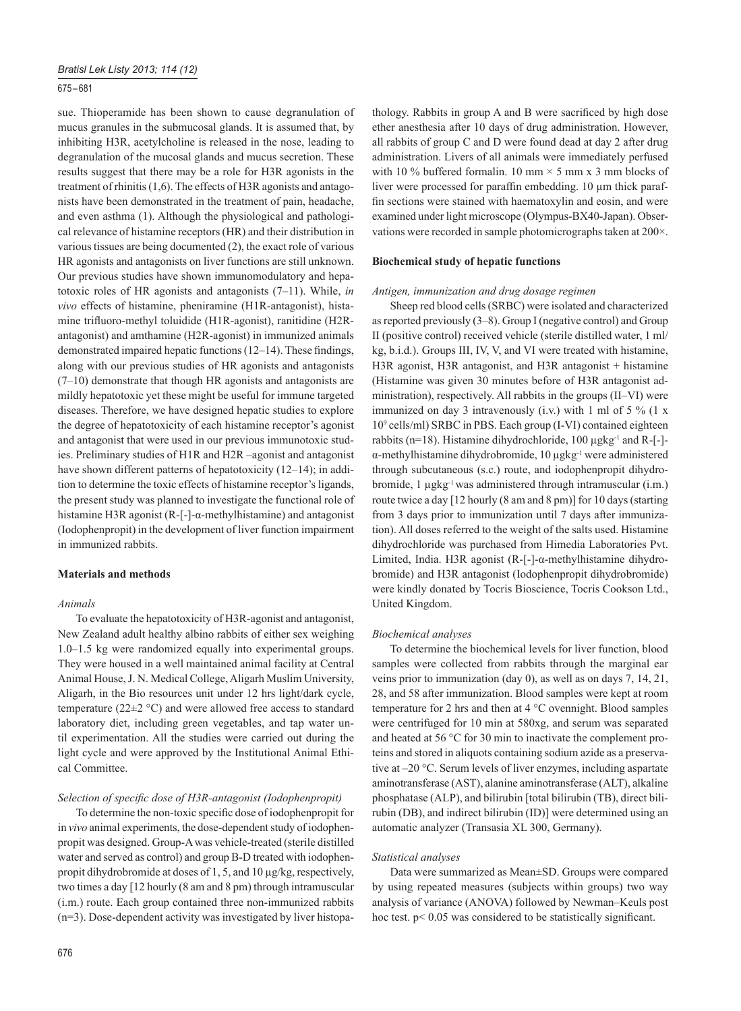## 675 – 681

sue. Thioperamide has been shown to cause degranulation of mucus granules in the submucosal glands. It is assumed that, by inhibiting H3R, acetylcholine is released in the nose, leading to degranulation of the mucosal glands and mucus secretion. These results suggest that there may be a role for H3R agonists in the treatment of rhinitis (1,6). The effects of H3R agonists and antagonists have been demonstrated in the treatment of pain, headache, and even asthma (1). Although the physiological and pathological relevance of histamine receptors (HR) and their distribution in various tissues are being documented (2), the exact role of various HR agonists and antagonists on liver functions are still unknown. Our previous studies have shown immunomodulatory and hepatotoxic roles of HR agonists and antagonists (7–11). While, *in vivo* effects of histamine, pheniramine (H1R-antagonist), histamine trifluoro-methyl toluidide (H1R-agonist), ranitidine (H2Rantagonist) and amthamine (H2R-agonist) in immunized animals demonstrated impaired hepatic functions  $(12-14)$ . These findings, along with our previous studies of HR agonists and antagonists (7–10) demonstrate that though HR agonists and antagonists are mildly hepatotoxic yet these might be useful for immune targeted diseases. Therefore, we have designed hepatic studies to explore the degree of hepatotoxicity of each histamine receptor's agonist and antagonist that were used in our previous immunotoxic studies. Preliminary studies of H1R and H2R –agonist and antagonist have shown different patterns of hepatotoxicity (12–14); in addition to determine the toxic effects of histamine receptor's ligands, the present study was planned to investigate the functional role of histamine H3R agonist (R- $[-]$ - $\alpha$ -methylhistamine) and antagonist (Iodophenpropit) in the development of liver function impairment in immunized rabbits.

## **Materials and methods**

# *Animals*

To evaluate the hepatotoxicity of H3R-agonist and antagonist, New Zealand adult healthy albino rabbits of either sex weighing 1.0–1.5 kg were randomized equally into experimental groups. They were housed in a well maintained animal facility at Central Animal House, J. N. Medical College, Aligarh Muslim University, Aligarh, in the Bio resources unit under 12 hrs light/dark cycle, temperature (22±2 °C) and were allowed free access to standard laboratory diet, including green vegetables, and tap water until experimentation. All the studies were carried out during the light cycle and were approved by the Institutional Animal Ethical Committee.

### *Selection of specific dose of H3R-antagonist (Iodophenpropit)*

To determine the non-toxic specific dose of iodophenpropit for in *vivo* animal experiments, the dose-dependent study of iodophenpropit was designed. Group-A was vehicle-treated (sterile distilled water and served as control) and group B-D treated with iodophenpropit dihydrobromide at doses of 1, 5, and 10 μg/kg, respectively, two times a day [12 hourly (8 am and 8 pm) through intramuscular (i.m.) route. Each group contained three non-immunized rabbits (n=3). Dose-dependent activity was investigated by liver histopathology. Rabbits in group A and B were sacrificed by high dose ether anesthesia after 10 days of drug administration. However, all rabbits of group C and D were found dead at day 2 after drug administration. Livers of all animals were immediately perfused with 10 % buffered formalin. 10 mm  $\times$  5 mm x 3 mm blocks of liver were processed for paraffin embedding. 10 μm thick paraffin sections were stained with haematoxylin and eosin, and were examined under light microscope (Olympus-BX40-Japan). Observations were recorded in sample photomicrographs taken at 200×.

### **Biochemical study of hepatic functions**

#### *Antigen, immunization and drug dosage regimen*

Sheep red blood cells (SRBC) were isolated and characterized as reported previously (3–8). Group I (negative control) and Group II (positive control) received vehicle (sterile distilled water, 1 ml/ kg, b.i.d.). Groups III, IV, V, and VI were treated with histamine, H3R agonist, H3R antagonist, and H3R antagonist + histamine (Histamine was given 30 minutes before of H3R antagonist administration), respectively. All rabbits in the groups (II–VI) were immunized on day 3 intravenously  $(i.x)$  with 1 ml of 5 %  $(1 x)$ 109 cells/ml) SRBC in PBS. Each group (I-VI) contained eighteen rabbits (n=18). Histamine dihydrochloride, 100 μgkg-1 and R-[-] α-methylhistamine dihydrobromide, 10 μgkg-1 were administered through subcutaneous (s.c.) route, and iodophenpropit dihydrobromide, 1 μgkg-1 was administered through intramuscular (i.m.) route twice a day [12 hourly (8 am and 8 pm)] for 10 days (starting from 3 days prior to immunization until 7 days after immunization). All doses referred to the weight of the salts used. Histamine dihydrochloride was purchased from Himedia Laboratories Pvt. Limited, India. H3R agonist (R-[-]-α-methylhistamine dihydrobromide) and H3R antagonist (Iodophenpropit dihydrobromide) were kindly donated by Tocris Bioscience, Tocris Cookson Ltd., United Kingdom.

### *Biochemical analyses*

To determine the biochemical levels for liver function, blood samples were collected from rabbits through the marginal ear veins prior to immunization (day 0), as well as on days 7, 14, 21, 28, and 58 after immunization. Blood samples were kept at room temperature for 2 hrs and then at 4 °C ovennight. Blood samples were centrifuged for 10 min at 580xg, and serum was separated and heated at 56 °C for 30 min to inactivate the complement proteins and stored in aliquots containing sodium azide as a preservative at –20 °C. Serum levels of liver enzymes, including aspartate aminotransferase (AST), alanine aminotransferase (ALT), alkaline phosphatase (ALP), and bilirubin [total bilirubin (TB), direct bilirubin (DB), and indirect bilirubin (ID)] were determined using an automatic analyzer (Transasia XL 300, Germany).

### *Statistical analyses*

Data were summarized as Mean±SD. Groups were compared by using repeated measures (subjects within groups) two way analysis of variance (ANOVA) followed by Newman–Keuls post hoc test.  $p < 0.05$  was considered to be statistically significant.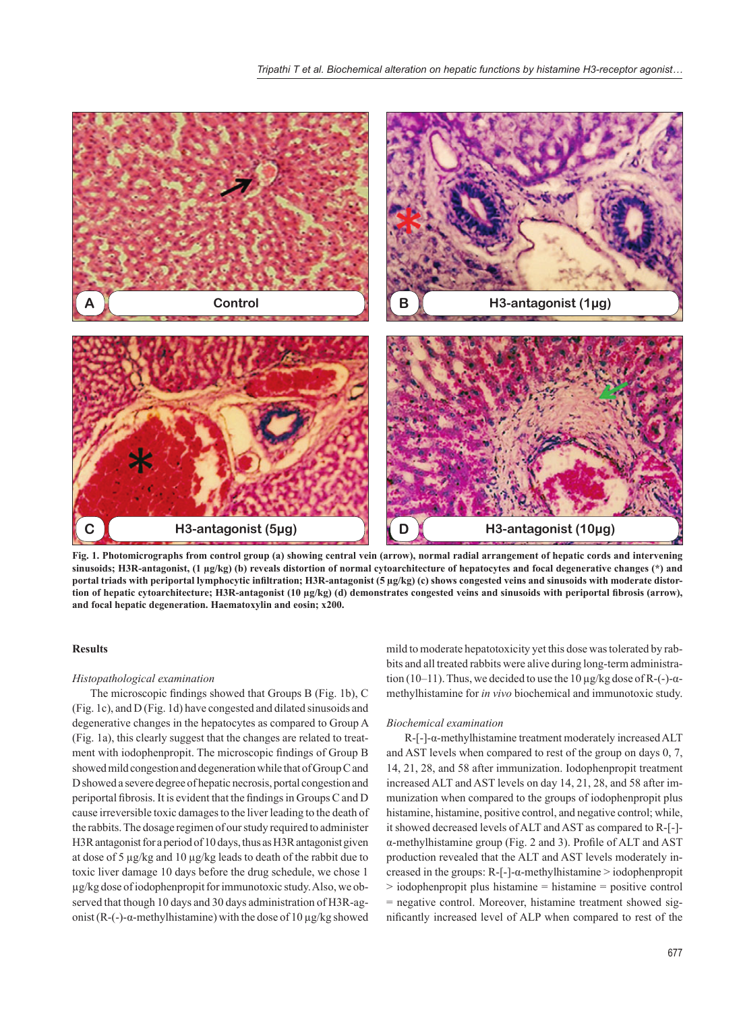

**Fig. 1. Photomicrographs from control group (a) showing central vein (arrow), normal radial arrangement of hepatic cords and intervening sinusoids; H3R-antagonist, (1 μg/kg) (b) reveals distortion of normal cytoarchitecture of hepatocytes and focal degenerative changes (\*) and**  portal triads with periportal lymphocytic infiltration; H3R-antagonist (5 µg/kg) (c) shows congested veins and sinusoids with moderate distortion of hepatic cytoarchitecture; H3R-antagonist (10 μg/kg) (d) demonstrates congested veins and sinusoids with periportal fibrosis (arrow), **and focal hepatic degeneration. Haematoxylin and eosin; x200.**

## **Results**

#### *Histopathological examination*

The microscopic findings showed that Groups B (Fig. 1b), C (Fig. 1c), and D (Fig. 1d) have congested and dilated sinusoids and degenerative changes in the hepatocytes as compared to Group A (Fig. 1a), this clearly suggest that the changes are related to treatment with iodophenpropit. The microscopic findings of Group B showed mild congestion and degeneration while that of Group C and D showed a severe degree of hepatic necrosis, portal congestion and periportal fibrosis. It is evident that the findings in Groups C and D cause irreversible toxic damages to the liver leading to the death of the rabbits. The dosage regimen of our study required to administer H3R antagonist for a period of 10 days, thus as H3R antagonist given at dose of 5 μg/kg and 10 μg/kg leads to death of the rabbit due to toxic liver damage 10 days before the drug schedule, we chose 1 μg/kg dose of iodophenpropit for immunotoxic study. Also, we observed that though 10 days and 30 days administration of H3R-agonist ( $R$ -(-)-α-methylhistamine) with the dose of 10 μg/kg showed

mild to moderate hepatotoxicity yet this dose was tolerated by rabbits and all treated rabbits were alive during long-term administration (10–11). Thus, we decided to use the 10  $\mu$ g/kg dose of R-(-)- $\alpha$ methylhistamine for *in vivo* biochemical and immunotoxic study.

#### *Biochemical examination*

R-[-]-α-methylhistamine treatment moderately increased ALT and AST levels when compared to rest of the group on days 0, 7, 14, 21, 28, and 58 after immunization. Iodophenpropit treatment increased ALT and AST levels on day 14, 21, 28, and 58 after immunization when compared to the groups of iodophenpropit plus histamine, histamine, positive control, and negative control; while, it showed decreased levels of ALT and AST as compared to R-[-]-  $\alpha$ -methylhistamine group (Fig. 2 and 3). Profile of ALT and AST production revealed that the ALT and AST levels moderately increased in the groups:  $R$ -[-]- $\alpha$ -methylhistamine > iodophenpropit > iodophenpropit plus histamine = histamine = positive control = negative control. Moreover, histamine treatment showed significantly increased level of ALP when compared to rest of the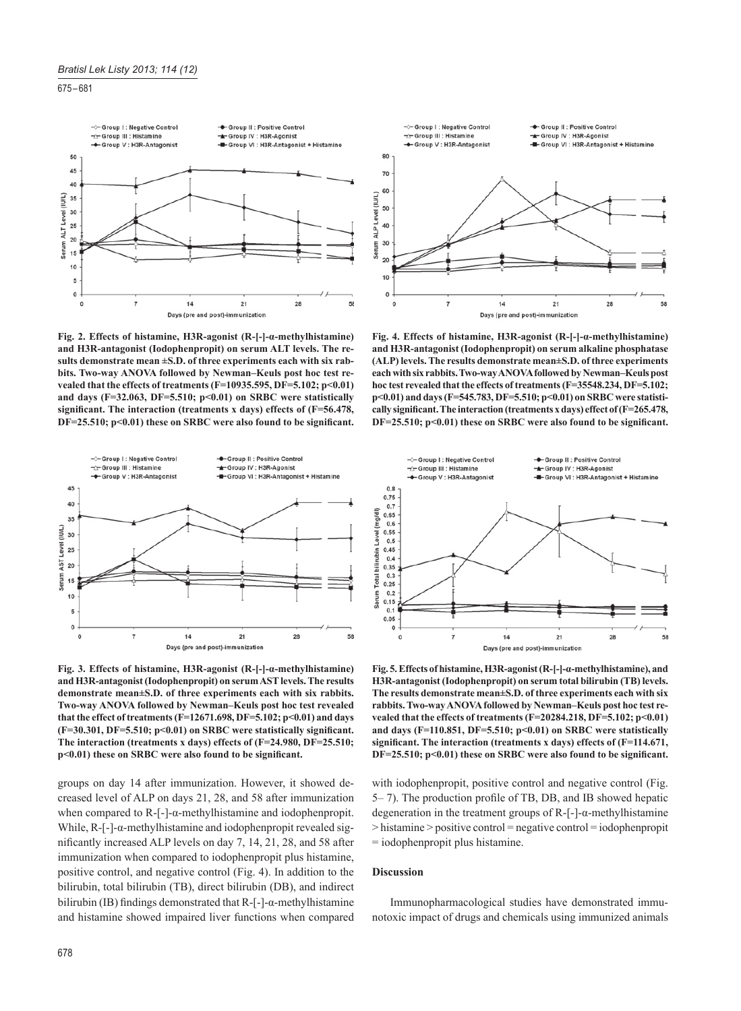675 – 681



**Fig. 2. Effects of histamine, H3R-agonist (R-[-]-α-methylhistamine) and H3R-antagonist (Iodophenpropit) on serum ALT levels. The results demonstrate mean ±S.D. of three experiments each with six rabbits. Two-way ANOVA followed by Newman–Keuls post hoc test revealed that the effects of treatments (F=10935.595, DF=5.102; p<0.01) and days (F=32.063, DF=5.510; p<0.01) on SRBC were statistically**  significant. The interaction (treatments x days) effects of (F=56.478, DF=25.510; p<0.01) these on SRBC were also found to be significant.



**Fig. 3. Effects of histamine, H3R-agonist (R-[-]-α-methylhistamine) and H3R-antagonist (Iodophenpropit) on serum AST levels. The results demonstrate mean±S.D. of three experiments each with six rabbits. Two-way ANOVA followed by Newman–Keuls post hoc test revealed that the effect of treatments (F=12671.698, DF=5.102; p<0.01) and days**  (F=30.301, DF=5.510; p<0.01) on SRBC were statistically significant. **The interaction (treatments x days) effects of (F=24.980, DF=25.510;**  p<0.01) these on SRBC were also found to be significant.

groups on day 14 after immunization. However, it showed decreased level of ALP on days 21, 28, and 58 after immunization when compared to R-[-]-α-methylhistamine and iodophenpropit. While,  $R$ -[-]- $\alpha$ -methylhistamine and iodophenpropit revealed significantly increased ALP levels on day 7, 14, 21, 28, and 58 after immunization when compared to iodophenpropit plus histamine, positive control, and negative control (Fig. 4). In addition to the bilirubin, total bilirubin (TB), direct bilirubin (DB), and indirect bilirubin (IB) findings demonstrated that R-[-]- $\alpha$ -methylhistamine and histamine showed impaired liver functions when compared



**Fig. 4. Effects of histamine, H3R-agonist (R-[-]-α-methylhistamine) and H3R-antagonist (Iodophenpropit) on serum alkaline phosphatase (ALP) levels. The results demonstrate mean±S.D. of three experiments each with six rabbits. Two-way ANOVA followed by Newman–Keuls post hoc test revealed that the effects of treatments (F=35548.234, DF=5.102; p<0.01) and days (F=545.783, DF=5.510; p<0.01) on SRBC were statisti**cally significant. The interaction (treatments x days) effect of (F=265.478, DF=25.510; p<0.01) these on SRBC were also found to be significant.



**Fig. 5. Effects of histamine, H3R-agonist (R-[-]-α-methylhistamine), and H3R-antagonist (Iodophenpropit) on serum total bilirubin (TB) levels. The results demonstrate mean±S.D. of three experiments each with six rabbits. Two-way ANOVA followed by Newman–Keuls post hoc test revealed that the effects of treatments (F=20284.218, DF=5.102; p<0.01) and days (F=110.851, DF=5.510; p<0.01) on SRBC were statistically**  significant. The interaction (treatments x days) effects of (F=114.671, DF=25.510; p<0.01) these on SRBC were also found to be significant.

with iodophenpropit, positive control and negative control (Fig. 5– 7). The production profile of TB, DB, and IB showed hepatic degeneration in the treatment groups of R- $[-]$ - $\alpha$ -methylhistamine > histamine > positive control = negative control = iodophenpropit = iodophenpropit plus histamine.

### **Discussion**

Immunopharmacological studies have demonstrated immunotoxic impact of drugs and chemicals using immunized animals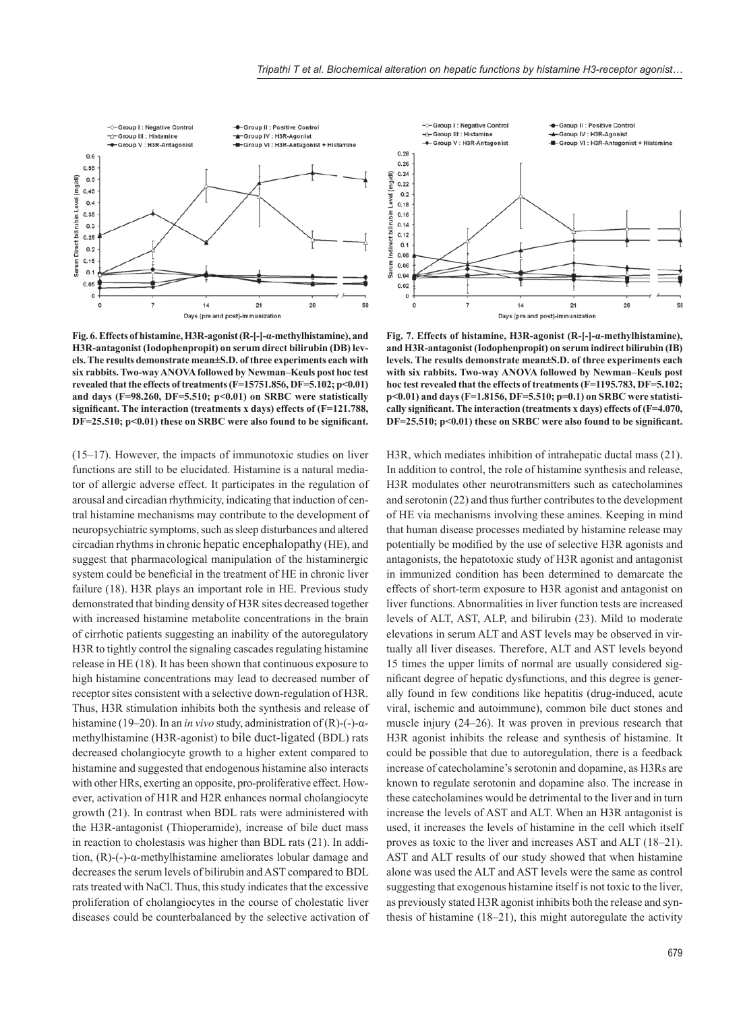

**Fig. 6. Effects of histamine, H3R-agonist (R-[-]-α-methylhistamine), and H3R-antagonist (Iodophenpropit) on serum direct bilirubin (DB) levels. The results demonstrate mean±S.D. of three experiments each with six rabbits. Two-way ANOVA followed by Newman–Keuls post hoc test revealed that the effects of treatments (F=15751.856, DF=5.102; p<0.01) and days (F=98.260, DF=5.510; p<0.01) on SRBC were statistically**  significant. The interaction (treatments x days) effects of (F=121.788, DF=25.510; p<0.01) these on SRBC were also found to be significant.

(15–17). However, the impacts of immunotoxic studies on liver functions are still to be elucidated. Histamine is a natural mediator of allergic adverse effect. It participates in the regulation of arousal and circadian rhythmicity, indicating that induction of central histamine mechanisms may contribute to the development of neuropsychiatric symptoms, such as sleep disturbances and altered circadian rhythms in chronic hepatic encephalopathy (HE), and suggest that pharmacological manipulation of the histaminergic system could be beneficial in the treatment of HE in chronic liver failure (18). H3R plays an important role in HE. Previous study demonstrated that binding density of H3R sites decreased together with increased histamine metabolite concentrations in the brain of cirrhotic patients suggesting an inability of the autoregulatory H3R to tightly control the signaling cascades regulating histamine release in HE (18). It has been shown that continuous exposure to high histamine concentrations may lead to decreased number of receptor sites consistent with a selective down-regulation of H3R. Thus, H3R stimulation inhibits both the synthesis and release of histamine (19–20). In an *in vivo* study, administration of (R)-(-)-αmethylhistamine (H3R-agonist) to bile duct-ligated (BDL) rats decreased cholangiocyte growth to a higher extent compared to histamine and suggested that endogenous histamine also interacts with other HRs, exerting an opposite, pro-proliferative effect. However, activation of H1R and H2R enhances normal cholangiocyte growth (21). In contrast when BDL rats were administered with the H3R-antagonist (Thioperamide), increase of bile duct mass in reaction to cholestasis was higher than BDL rats (21). In addition, (R)-(-)-α-methylhistamine ameliorates lobular damage and decreases the serum levels of bilirubin and AST compared to BDL rats treated with NaCl. Thus, this study indicates that the excessive proliferation of cholangiocytes in the course of cholestatic liver diseases could be counterbalanced by the selective activation of



**Fig. 7. Effects of histamine, H3R-agonist (R-[-]-α-methylhistamine), and H3R-antagonist (Iodophenpropit) on serum indirect bilirubin (IB) levels. The results demonstrate mean±S.D. of three experiments each with six rabbits. Two-way ANOVA followed by Newman–Keuls post hoc test revealed that the effects of treatments (F=1195.783, DF=5.102; p<0.01) and days (F=1.8156, DF=5.510; p=0.1) on SRBC were statisti**cally significant. The interaction (treatments x days) effects of (F=4.070, DF=25.510; p<0.01) these on SRBC were also found to be significant.

H3R, which mediates inhibition of intrahepatic ductal mass (21). In addition to control, the role of histamine synthesis and release, H3R modulates other neurotransmitters such as catecholamines and serotonin (22) and thus further contributes to the development of HE via mechanisms involving these amines. Keeping in mind that human disease processes mediated by histamine release may potentially be modified by the use of selective H3R agonists and antagonists, the hepatotoxic study of H3R agonist and antagonist in immunized condition has been determined to demarcate the effects of short-term exposure to H3R agonist and antagonist on liver functions. Abnormalities in liver function tests are increased levels of ALT, AST, ALP, and bilirubin (23). Mild to moderate elevations in serum ALT and AST levels may be observed in virtually all liver diseases. Therefore, ALT and AST levels beyond 15 times the upper limits of normal are usually considered significant degree of hepatic dysfunctions, and this degree is generally found in few conditions like hepatitis (drug-induced, acute viral, ischemic and autoimmune), common bile duct stones and muscle injury (24–26). It was proven in previous research that H3R agonist inhibits the release and synthesis of histamine. It could be possible that due to autoregulation, there is a feedback increase of catecholamine's serotonin and dopamine, as H3Rs are known to regulate serotonin and dopamine also. The increase in these catecholamines would be detrimental to the liver and in turn increase the levels of AST and ALT. When an H3R antagonist is used, it increases the levels of histamine in the cell which itself proves as toxic to the liver and increases AST and ALT (18–21). AST and ALT results of our study showed that when histamine alone was used the ALT and AST levels were the same as control suggesting that exogenous histamine itself is not toxic to the liver, as previously stated H3R agonist inhibits both the release and synthesis of histamine (18–21), this might autoregulate the activity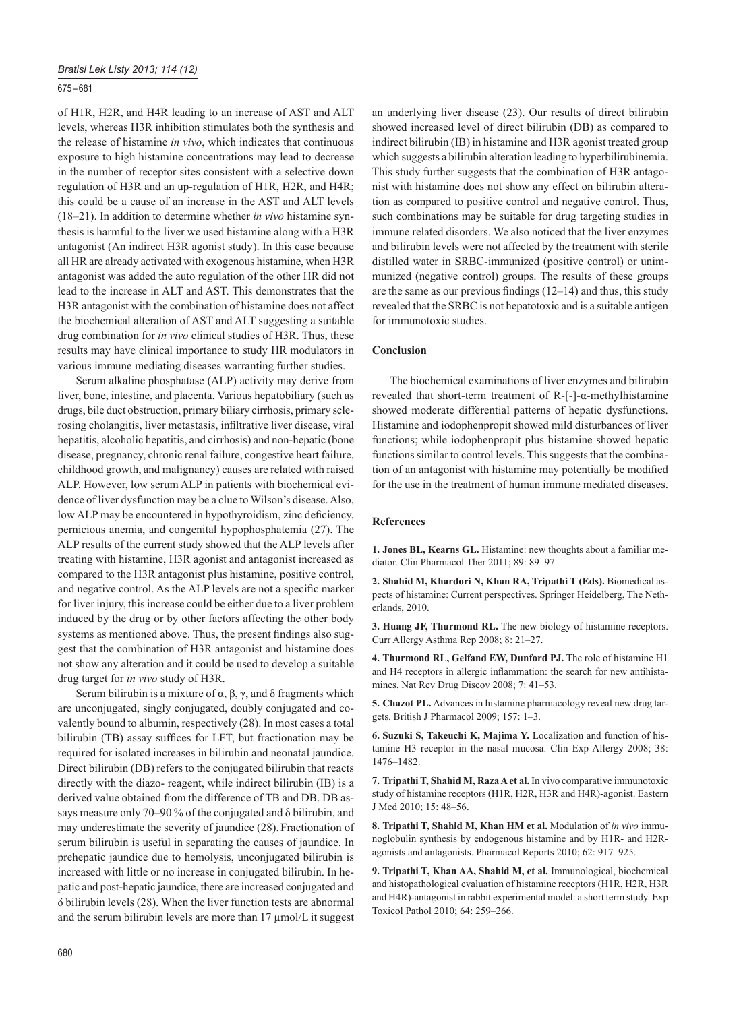## 675 – 681

of H1R, H2R, and H4R leading to an increase of AST and ALT levels, whereas H3R inhibition stimulates both the synthesis and the release of histamine *in vivo*, which indicates that continuous exposure to high histamine concentrations may lead to decrease in the number of receptor sites consistent with a selective down regulation of H3R and an up-regulation of H1R, H2R, and H4R; this could be a cause of an increase in the AST and ALT levels (18–21). In addition to determine whether *in vivo* histamine synthesis is harmful to the liver we used histamine along with a H3R antagonist (An indirect H3R agonist study). In this case because all HR are already activated with exogenous histamine, when H3R antagonist was added the auto regulation of the other HR did not lead to the increase in ALT and AST. This demonstrates that the H3R antagonist with the combination of histamine does not affect the biochemical alteration of AST and ALT suggesting a suitable drug combination for *in vivo* clinical studies of H3R. Thus, these results may have clinical importance to study HR modulators in various immune mediating diseases warranting further studies.

Serum alkaline phosphatase (ALP) activity may derive from liver, bone, intestine, and placenta. Various hepatobiliary (such as drugs, bile duct obstruction, primary biliary cirrhosis, primary sclerosing cholangitis, liver metastasis, infiltrative liver disease, viral hepatitis, alcoholic hepatitis, and cirrhosis) and non-hepatic (bone disease, pregnancy, chronic renal failure, congestive heart failure, childhood growth, and malignancy) causes are related with raised ALP. However, low serum ALP in patients with biochemical evidence of liver dysfunction may be a clue to Wilson's disease. Also, low ALP may be encountered in hypothyroidism, zinc deficiency, pernicious anemia, and congenital hypophosphatemia (27). The ALP results of the current study showed that the ALP levels after treating with histamine, H3R agonist and antagonist increased as compared to the H3R antagonist plus histamine, positive control, and negative control. As the ALP levels are not a specific marker for liver injury, this increase could be either due to a liver problem induced by the drug or by other factors affecting the other body systems as mentioned above. Thus, the present findings also suggest that the combination of H3R antagonist and histamine does not show any alteration and it could be used to develop a suitable drug target for *in vivo* study of H3R.

Serum bilirubin is a mixture of  $\alpha$ ,  $\beta$ ,  $\gamma$ , and δ fragments which are unconjugated, singly conjugated, doubly conjugated and covalently bound to albumin, respectively (28). In most cases a total bilirubin (TB) assay suffices for LFT, but fractionation may be required for isolated increases in bilirubin and neonatal jaundice. Direct bilirubin (DB) refers to the conjugated bilirubin that reacts directly with the diazo- reagent, while indirect bilirubin (IB) is a derived value obtained from the difference of TB and DB. DB assays measure only 70–90 % of the conjugated and δ bilirubin, and may underestimate the severity of jaundice (28). Fractionation of serum bilirubin is useful in separating the causes of jaundice. In prehepatic jaundice due to hemolysis, unconjugated bilirubin is increased with little or no increase in conjugated bilirubin. In hepatic and post-hepatic jaundice, there are increased conjugated and δ bilirubin levels (28). When the liver function tests are abnormal and the serum bilirubin levels are more than 17 μmol/L it suggest

an underlying liver disease (23). Our results of direct bilirubin showed increased level of direct bilirubin (DB) as compared to indirect bilirubin (IB) in histamine and H3R agonist treated group which suggests a bilirubin alteration leading to hyperbilirubinemia. This study further suggests that the combination of H3R antagonist with histamine does not show any effect on bilirubin alteration as compared to positive control and negative control. Thus, such combinations may be suitable for drug targeting studies in immune related disorders. We also noticed that the liver enzymes and bilirubin levels were not affected by the treatment with sterile distilled water in SRBC-immunized (positive control) or unimmunized (negative control) groups. The results of these groups are the same as our previous findings  $(12-14)$  and thus, this study revealed that the SRBC is not hepatotoxic and is a suitable antigen for immunotoxic studies.

# **Conclusion**

The biochemical examinations of liver enzymes and bilirubin revealed that short-term treatment of R-[-]-α-methylhistamine showed moderate differential patterns of hepatic dysfunctions. Histamine and iodophenpropit showed mild disturbances of liver functions; while iodophenpropit plus histamine showed hepatic functions similar to control levels. This suggests that the combination of an antagonist with histamine may potentially be modified for the use in the treatment of human immune mediated diseases.

#### **References**

**1. Jones BL, Kearns GL.** Histamine: new thoughts about a familiar mediator. Clin Pharmacol Ther 2011; 89: 89–97.

**2. Shahid M, Khardori N, Khan RA, Tripathi T (Eds).** Biomedical aspects of histamine: Current perspectives. Springer Heidelberg, The Netherlands, 2010.

**3. Huang JF, Thurmond RL.** The new biology of histamine receptors. Curr Allergy Asthma Rep 2008; 8: 21–27.

**4. Thurmond RL, Gelfand EW, Dunford PJ.** The role of histamine H1 and H4 receptors in allergic inflammation: the search for new antihistamines. Nat Rev Drug Discov 2008; 7: 41–53.

**5. Chazot PL.** Advances in histamine pharmacology reveal new drug targets. British J Pharmacol 2009; 157: 1–3.

**6. Suzuki S, Takeuchi K, Majima Y.** Localization and function of histamine H3 receptor in the nasal mucosa. Clin Exp Allergy 2008; 38: 1476–1482.

**7. Tripathi T, Shahid M, Raza A et al.** In vivo comparative immunotoxic study of histamine receptors (H1R, H2R, H3R and H4R)-agonist. Eastern J Med 2010; 15: 48–56.

**8. Tripathi T, Shahid M, Khan HM et al.** Modulation of *in vivo* immunoglobulin synthesis by endogenous histamine and by H1R- and H2Ragonists and antagonists. Pharmacol Reports 2010; 62: 917–925.

**9. Tripathi T, Khan AA, Shahid M, et al.** Immunological, biochemical and histopathological evaluation of histamine receptors (H1R, H2R, H3R and H4R)-antagonist in rabbit experimental model: a short term study. Exp Toxicol Pathol 2010; 64: 259–266.